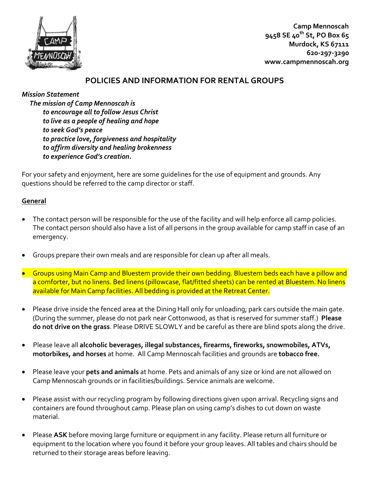

**Camp Mennoscah 9458 SE 40th St, PO Box 65 Murdock, KS 67111 620-297-3290 www.campmennoscah.org**

#### **POLICIES AND INFORMATION FOR RENTAL GROUPS**

#### *Mission Statement*

 *The mission of Camp Mennoscah is to encourage all to follow Jesus Christ to live as a people of healing and hope to seek God's peace to practice love, forgiveness and hospitality to affirm diversity and healing brokenness to experience God's creation.*

For your safety and enjoyment, here are some guidelines for the use of equipment and grounds. Any questions should be referred to the camp director or staff.

#### **General**

- The contact person will be responsible for the use of the facility and will help enforce all camp policies. The contact person should also have a list of all persons in the group available for camp staff in case of an emergency.
- Groups prepare their own meals and are responsible for clean up after all meals.
- Groups using Main Camp and Bluestem provide their own bedding. Bluestem beds each have a pillow and a comforter, but no linens. Bed linens (pillowcase, flat/fitted sheets) can be rented at Bluestem. No linens available for Main Camp facilities. All bedding is provided at the Retreat Center.
- Please drive inside the fenced area at the Dining Hall only for unloading; park cars outside the main gate. (During the summer, please do not park near Cottonwood, as that is reserved for summer staff.) **Please do not drive on the grass**. Please DRIVE SLOWLY and be careful as there are blind spots along the drive.
- Please leave all **alcoholic beverages, illegal substances, firearms, fireworks, snowmobiles, ATVs, motorbikes, and horses** at home. All Camp Mennoscah facilities and grounds are **tobacco free.**
- Please leave your **pets and animals** at home. Pets and animals of any size or kind are not allowed on Camp Mennoscah grounds or in facilities/buildings. Service animals are welcome.
- Please assist with our recycling program by following directions given upon arrival. Recycling signs and containers are found throughout camp. Please plan on using camp's dishes to cut down on waste material.
- Please **ASK** before moving large furniture or equipment in any facility. Please return all furniture or equipment to the location where you found it before your group leaves. All tables and chairs should be returned to their storage areas before leaving.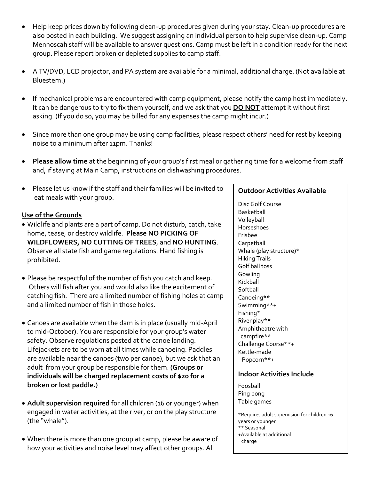- Help keep prices down by following clean-up procedures given during your stay. Clean-up procedures are also posted in each building. We suggest assigning an individual person to help supervise clean-up. Camp Mennoscah staff will be available to answer questions. Camp must be left in a condition ready for the next group. Please report broken or depleted supplies to camp staff.
- A TV/DVD, LCD projector, and PA system are available for a minimal, additional charge. (Not available at Bluestem.)
- If mechanical problems are encountered with camp equipment, please notify the camp host immediately. It can be dangerous to try to fix them yourself, and we ask that you **DO NOT** attempt it without first asking. (If you do so, you may be billed for any expenses the camp might incur.)
- Since more than one group may be using camp facilities, please respect others' need for rest by keeping noise to a minimum after 11pm. Thanks!
- **Please allow time** at the beginning of your group's first meal or gathering time for a welcome from staff and, if staying at Main Camp, instructions on dishwashing procedures.
- Please let us know if the staff and their families will be invited to eat meals with your group.

#### **Use of the Grounds**

- Wildlife and plants are a part of camp. Do not disturb, catch, take home, tease, or destroy wildlife. **Please NO PICKING OF WILDFLOWERS, NO CUTTING OF TREES**, and **NO HUNTING**. Observe all state fish and game regulations. Hand fishing is prohibited.
- Please be respectful of the number of fish you catch and keep. Others will fish after you and would also like the excitement of catching fish. There are a limited number of fishing holes at camp and a limited number of fish in those holes.
- Canoes are available when the dam is in place (usually mid-April to mid-October). You are responsible for your group's water safety. Observe regulations posted at the canoe landing. Lifejackets are to be worn at all times while canoeing. Paddles are available near the canoes (two per canoe), but we ask that an adult from your group be responsible for them. **(Groups or individuals will be charged replacement costs of \$20 for a broken or lost paddle.)**
- **Adult supervision required** for all children (16 or younger) when engaged in water activities, at the river, or on the play structure (the "whale").
- When there is more than one group at camp, please be aware of how your activities and noise level may affect other groups. All

#### **Outdoor Activities Available**

Disc Golf Course Basketball Volleyball Horseshoes Frisbee **Carpetball** Whale (play structure)\* Hiking Trails Golf ball toss Gowling Kickball **Softball** Canoeing\*\* Swimming\*\*+ Fishing\* River play\*\* Amphitheatre with campfire\*\* Challenge Course\*\*+ Kettle-made Popcorn\*\*+

#### **Indoor Activities Include**

Foosball Ping pong Table games

\*Requires adult supervision for children 16 years or younger \*\* Seasonal +Available at additional charge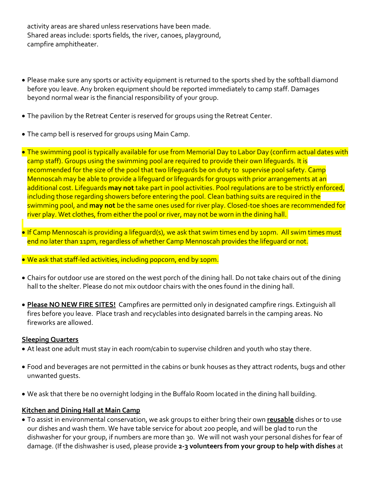activity areas are shared unless reservations have been made. Shared areas include: sports fields, the river, canoes, playground, campfire amphitheater.

- Please make sure any sports or activity equipment is returned to the sports shed by the softball diamond before you leave. Any broken equipment should be reported immediately to camp staff. Damages beyond normal wear is the financial responsibility of your group.
- The pavilion by the Retreat Center is reserved for groups using the Retreat Center.
- The camp bell is reserved for groups using Main Camp.
- The swimming pool is typically available for use from Memorial Day to Labor Day (confirm actual dates with camp staff). Groups using the swimming pool are required to provide their own lifeguards. It is recommended for the size of the pool that two lifequards be on duty to supervise pool safety. Camp Mennoscah may be able to provide a lifeguard or lifeguards for groups with prior arrangements at an additional cost. Lifeguards **may not** take part in pool activities. Pool regulations are to be strictly enforced, including those regarding showers before entering the pool. Clean bathing suits are required in the swimming pool, and **may not** be the same ones used for river play. Closed-toe shoes are recommended for river play. Wet clothes, from either the pool or river, may not be worn in the dining hall.
- . If Camp Mennoscah is providing a lifeguard(s), we ask that swim times end by 10pm. All swim times must end no later than 11pm, regardless of whether Camp Mennoscah provides the lifeguard or not.

We ask that staff-led activities, including popcorn, end by 10pm.

- Chairs for outdoor use are stored on the west porch of the dining hall. Do not take chairs out of the dining hall to the shelter. Please do not mix outdoor chairs with the ones found in the dining hall.
- **Please NO NEW FIRE SITES!** Campfires are permitted only in designated campfire rings. Extinguish all fires before you leave. Place trash and recyclables into designated barrels in the camping areas. No fireworks are allowed.

#### **Sleeping Quarters**

- At least one adult must stay in each room/cabin to supervise children and youth who stay there.
- Food and beverages are not permitted in the cabins or bunk houses as they attract rodents, bugs and other unwanted guests.
- We ask that there be no overnight lodging in the Buffalo Room located in the dining hall building.

#### **Kitchen and Dining Hall at Main Camp**

 To assist in environmental conservation, we ask groups to either bring their own **reusable** dishes or to use our dishes and wash them. We have table service for about 200 people, and will be glad to run the dishwasher for your group, if numbers are more than 30. We will not wash your personal dishes for fear of damage. (If the dishwasher is used, please provide **2-3 volunteers from your group to help with dishes** at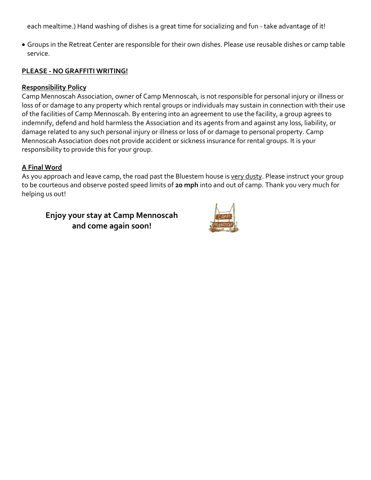each mealtime.) Hand washing of dishes is a great time for socializing and fun - take advantage of it!

 Groups in the Retreat Center are responsible for their own dishes. Please use reusable dishes or camp table service.

#### **PLEASE - NO GRAFFITI WRITING!**

#### **Responsibility Policy**

Camp Mennoscah Association, owner of Camp Mennoscah, is not responsible for personal injury or illness or loss of or damage to any property which rental groups or individuals may sustain in connection with their use of the facilities of Camp Mennoscah. By entering into an agreement to use the facility, a group agrees to indemnify, defend and hold harmless the Association and its agents from and against any loss, liability, or damage related to any such personal injury or illness or loss of or damage to personal property. Camp Mennoscah Association does not provide accident or sickness insurance for rental groups. It is your responsibility to provide this for your group.

#### **A Final Word**

As you approach and leave camp, the road past the Bluestem house is very dusty. Please instruct your group to be courteous and observe posted speed limits of **20 mph** into and out of camp. Thank you very much for helping us out!

**Enjoy your stay at Camp Mennoscah and come again soon!**

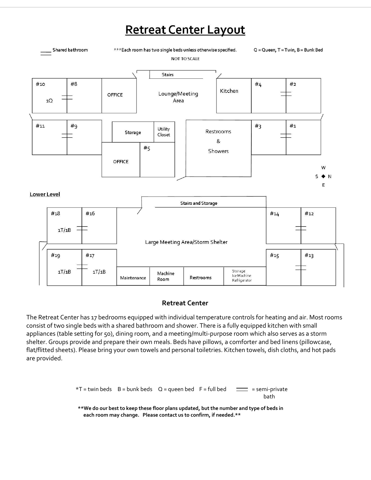## **Retreat Center Layout**



#### **Retreat Center**

The Retreat Center has 17 bedrooms equipped with individual temperature controls for heating and air. Most rooms consist of two single beds with a shared bathroom and shower. There is a fully equipped kitchen with small appliances (table setting for 50), dining room, and a meeting/multi-purpose room which also serves as a storm shelter. Groups provide and prepare their own meals. Beds have pillows, a comforter and bed linens (pillowcase, flat/flitted sheets). Please bring your own towels and personal toiletries. Kitchen towels, dish cloths, and hot pads are provided.

> $*T =$  twin beds B = bunk beds Q = queen bed F = full bed  $=$  = semi-private bath **\*\*We do our best to keep these floor plans updated, but the number and type of beds in each room may change. Please contact us to confirm, if needed.\*\***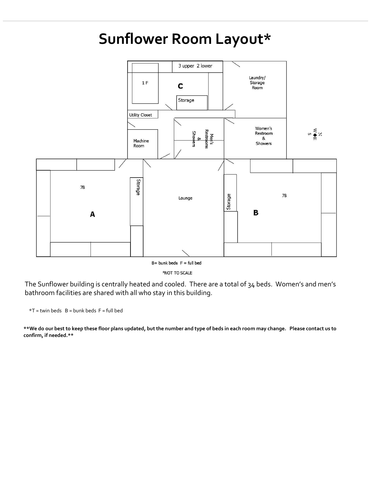## **Sunflower Room Layout\***



\*NOT TO SCALE

The Sunflower building is centrally heated and cooled. There are a total of 34 beds. Women's and men's bathroom facilities are shared with all who stay in this building.

 $*T =$  twin beds  $B =$  bunk beds  $F =$  full bed

**\*\*We do our best to keep these floor plans updated, but the number and type of beds in each room may change. Please contact us to confirm, if needed.\*\***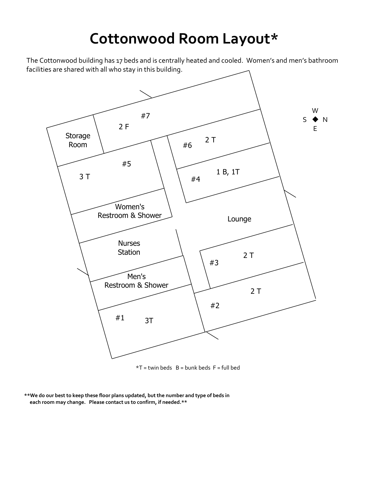# **Cottonwood Room Layout\***

The Cottonwood building has 17 beds and is centrally heated and cooled. Women's and men's bathroom facilities are shared with all who stay in this building.



 $*T =$  twin beds  $B =$  bunk beds  $F =$  full bed

**<sup>\*\*</sup>We do our best to keep these floor plans updated, but the number and type of beds in each room may change. Please contact us to confirm, if needed.\*\***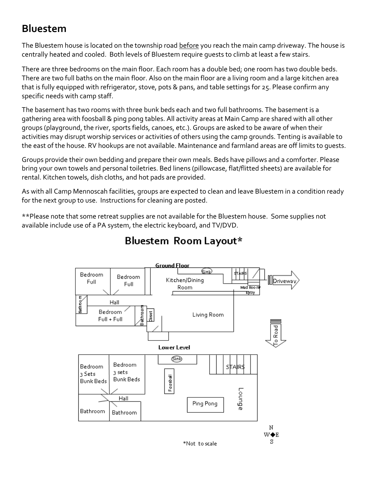### **Bluestem**

The Bluestem house is located on the township road before you reach the main camp driveway. The house is centrally heated and cooled. Both levels of Bluestem require guests to climb at least a few stairs.

There are three bedrooms on the main floor. Each room has a double bed; one room has two double beds. There are two full baths on the main floor. Also on the main floor are a living room and a large kitchen area that is fully equipped with refrigerator, stove, pots & pans, and table settings for 25. Please confirm any specific needs with camp staff.

The basement has two rooms with three bunk beds each and two full bathrooms. The basement is a gathering area with foosball & ping pong tables. All activity areas at Main Camp are shared with all other groups (playground, the river, sports fields, canoes, etc.). Groups are asked to be aware of when their activities may disrupt worship services or activities of others using the camp grounds. Tenting is available to the east of the house. RV hookups are not available. Maintenance and farmland areas are off limits to guests.

Groups provide their own bedding and prepare their own meals. Beds have pillows and a comforter. Please bring your own towels and personal toiletries. Bed linens (pillowcase, flat/flitted sheets) are available for rental. Kitchen towels, dish cloths, and hot pads are provided.

As with all Camp Mennoscah facilities, groups are expected to clean and leave Bluestem in a condition ready for the next group to use. Instructions for cleaning are posted.

\*\*Please note that some retreat supplies are not available for the Bluestem house. Some supplies not available include use of a PA system, the electric keyboard, and TV/DVD.



## Bluestem Room Layout\*